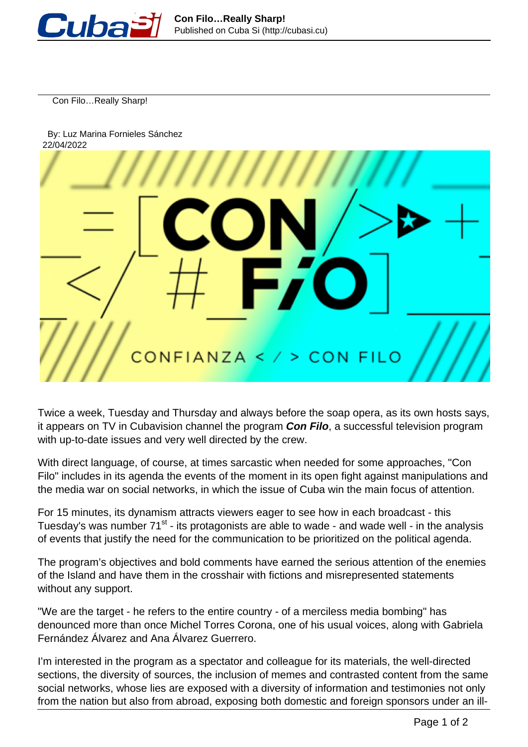

Con Filo…Really Sharp!

 By: Luz Marina Fornieles Sánchez 22/04/2022



Twice a week, Tuesday and Thursday and always before the soap opera, as its own hosts says, it appears on TV in Cubavision channel the program **Con Filo**, a successful television program with up-to-date issues and very well directed by the crew.

With direct language, of course, at times sarcastic when needed for some approaches, "Con Filo" includes in its agenda the events of the moment in its open fight against manipulations and the media war on social networks, in which the issue of Cuba win the main focus of attention.

For 15 minutes, its dynamism attracts viewers eager to see how in each broadcast - this Tuesday's was number 71<sup>st</sup> - its protagonists are able to wade - and wade well - in the analysis of events that justify the need for the communication to be prioritized on the political agenda.

The program's objectives and bold comments have earned the serious attention of the enemies of the Island and have them in the crosshair with fictions and misrepresented statements without any support.

"We are the target - he refers to the entire country - of a merciless media bombing" has denounced more than once Michel Torres Corona, one of his usual voices, along with Gabriela Fernández Álvarez and Ana Álvarez Guerrero.

I'm interested in the program as a spectator and colleague for its materials, the well-directed sections, the diversity of sources, the inclusion of memes and contrasted content from the same social networks, whose lies are exposed with a diversity of information and testimonies not only from the nation but also from abroad, exposing both domestic and foreign sponsors under an ill-